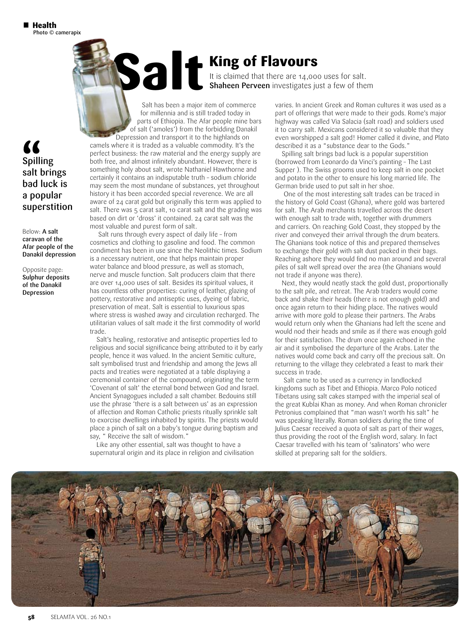" Spilling salt brings bad luck is a popular superstition

Below: A salt caravan of the Afar people of the Danakil depression

Opposite page: Sulphur deposits of the Danakil Depression

**Salt is claimed that there are 14,00**<br>Shaheen Perveen investigates ju

It is claimed that there are 14,000 uses for salt. **Shaheen Perveen** investigates just a few of them

Salt has been a major item of commerce for millennia and is still traded today in parts of Ethiopia. The Afar people mine bars of salt ('amoles') from the forbidding Danakil

Depression and transport it to the highlands on camels where it is traded as a valuable commodity. It's the perfect business: the raw material and the energy supply are both free, and almost infinitely abundant. However, there is something holy about salt, wrote Nathaniel Hawthorne and certainly it contains an indisputable truth – sodium chloride may seem the most mundane of substances, yet throughout history it has been accorded special reverence. We are all aware of 24 carat gold but originally this term was applied to salt. There was 5 carat salt, 10 carat salt and the grading was based on dirt or 'dross' it contained. 24 carat salt was the most valuable and purest form of salt.

Salt runs through every aspect of daily life – from cosmetics and clothing to gasoline and food. The common condiment has been in use since the Neolithic times. Sodium is a necessary nutrient, one that helps maintain proper water balance and blood pressure, as well as stomach, nerve and muscle function. Salt producers claim that there are over 14,000 uses of salt. Besides its spiritual values, it has countless other properties: curing of leather, glazing of pottery, restorative and antiseptic uses, dyeing of fabric, preservation of meat. Salt is essential to luxurious spas where stress is washed away and circulation recharged. The utilitarian values of salt made it the first commodity of world trade.

Salt's healing, restorative and antiseptic properties led to religious and social significance being attributed to it by early people, hence it was valued. In the ancient Semitic culture, salt symbolised trust and friendship and among the Jews all pacts and treaties were negotiated at a table displaying a ceremonial container of the compound, originating the term 'Covenant of salt' the eternal bond between God and Israel. Ancient Synagogues included a salt chamber. Bedouins still use the phrase 'there is a salt between us' as an expression of affection and Roman Catholic priests ritually sprinkle salt to exorcise dwellings inhabited by spirits. The priests would place a pinch of salt on a baby's tongue during baptism and say, " Receive the salt of wisdom."

Like any other essential, salt was thought to have a supernatural origin and its place in religion and civilisation varies. In ancient Greek and Roman cultures it was used as a part of offerings that were made to their gods. Rome's major highway was called Via Salacia (salt road) and soldiers used it to carry salt. Mexicans considered it so valuable that they even worshipped a salt god! Homer called it divine, and Plato described it as a "substance dear to the Gods."

Spilling salt brings bad luck is a popular superstition (borrowed from Leonardo da Vinci's painting – The Last Supper ). The Swiss grooms used to keep salt in one pocket and potato in the other to ensure his long married life. The German bride used to put salt in her shoe.

One of the most interesting salt trades can be traced in the history of Gold Coast (Ghana), where gold was bartered for salt. The Arab merchants travelled across the desert with enough salt to trade with, together with drummers and carriers. On reaching Gold Coast, they stopped by the river and conveyed their arrival through the drum beaters. The Ghanians took notice of this and prepared themselves to exchange their gold with salt dust packed in their bags. Reaching ashore they would find no man around and several piles of salt well spread over the area (the Ghanians would not trade if anyone was there).

Next, they would neatly stack the gold dust, proportionally to the salt pile, and retreat. The Arab traders would come back and shake their heads (there is not enough gold) and once again return to their hiding place. The natives would arrive with more gold to please their partners. The Arabs would return only when the Ghanians had left the scene and would nod their heads and smile as if there was enough gold for their satisfaction. The drum once again echoed in the air and it symbolised the departure of the Arabs. Later the natives would come back and carry off the precious salt. On returning to the village they celebrated a feast to mark their success in trade.

Salt came to be used as a currency in landlocked kingdoms such as Tibet and Ethiopia. Marco Polo noticed Tibetans using salt cakes stamped with the imperial seal of the great Kublai Khan as money. And when Roman chronicler Petronius complained that "man wasn't worth his salt" he was speaking literally. Roman soldiers during the time of Julius Caesar received a quota of salt as part of their wages, thus providing the root of the English word, salary. In fact Caesar travelled with his team of 'salinators' who were skilled at preparing salt for the soldiers.